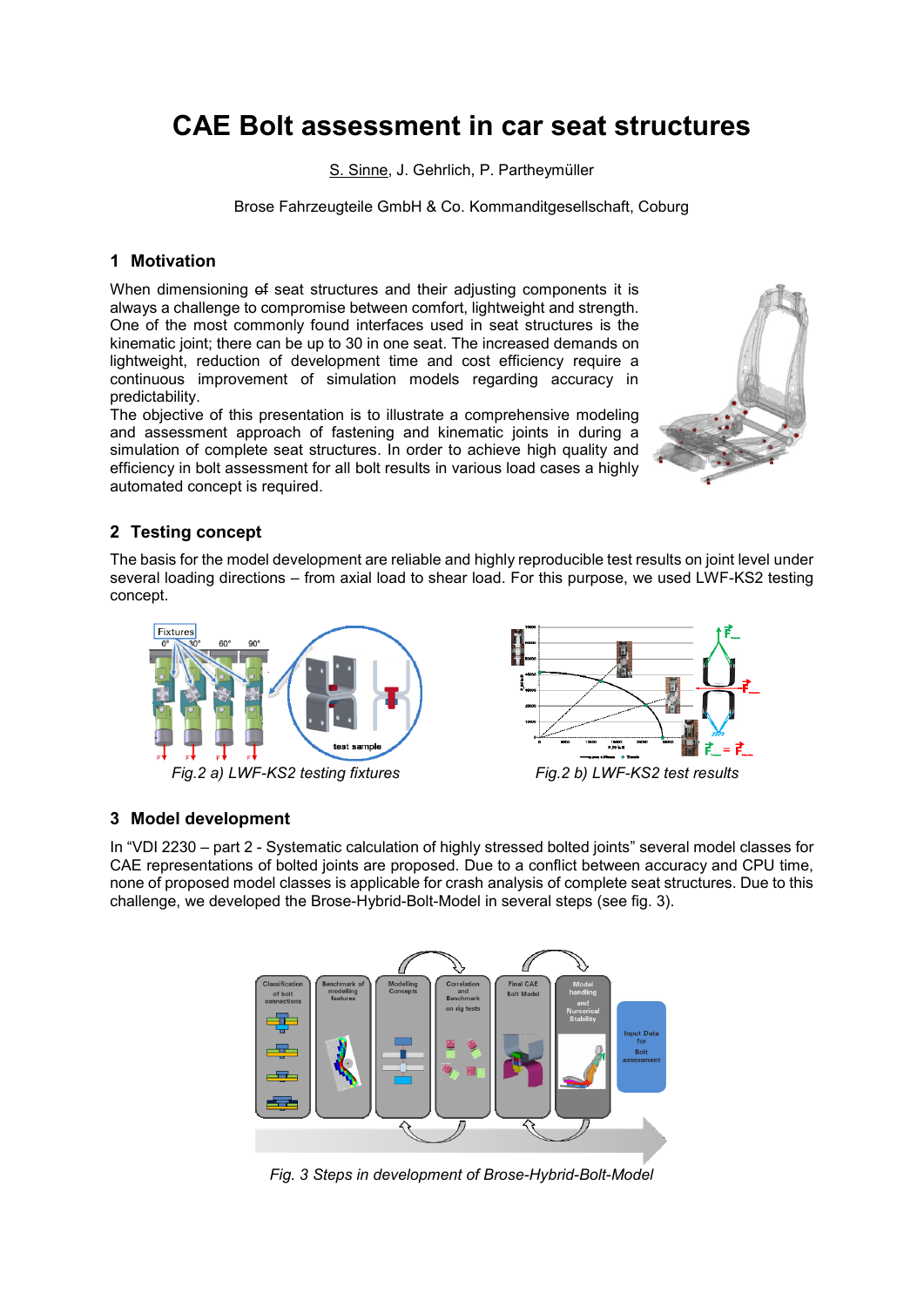# **CAE Bolt assessment in car seat structures**

S. Sinne, J. Gehrlich, P. Partheymüller

Brose Fahrzeugteile GmbH & Co. Kommanditgesellschaft, Coburg

### **1 Motivation**

When dimensioning of seat structures and their adjusting components it is always a challenge to compromise between comfort, lightweight and strength. One of the most commonly found interfaces used in seat structures is the kinematic joint; there can be up to 30 in one seat. The increased demands on lightweight, reduction of development time and cost efficiency require a continuous improvement of simulation models regarding accuracy in predictability.

The objective of this presentation is to illustrate a comprehensive modeling and assessment approach of fastening and kinematic joints in during a simulation of complete seat structures. In order to achieve high quality and efficiency in bolt assessment for all bolt results in various load cases a highly automated concept is required.



# **2 Testing concept**

The basis for the model development are reliable and highly reproducible test results on joint level under several loading directions – from axial load to shear load. For this purpose, we used LWF-KS2 testing concept.



*Fig.2 a) LWF-KS2 testing fixtures Fig.2 b) LWF-KS2 test results*



# **3 Model development**

In "VDI 2230 – part 2 - Systematic calculation of highly stressed bolted joints" several model classes for CAE representations of bolted joints are proposed. Due to a conflict between accuracy and CPU time, none of proposed model classes is applicable for crash analysis of complete seat structures. Due to this challenge, we developed the Brose-Hybrid-Bolt-Model in several steps (see fig. 3).



*Fig. 3 Steps in development of Brose-Hybrid-Bolt-Model*